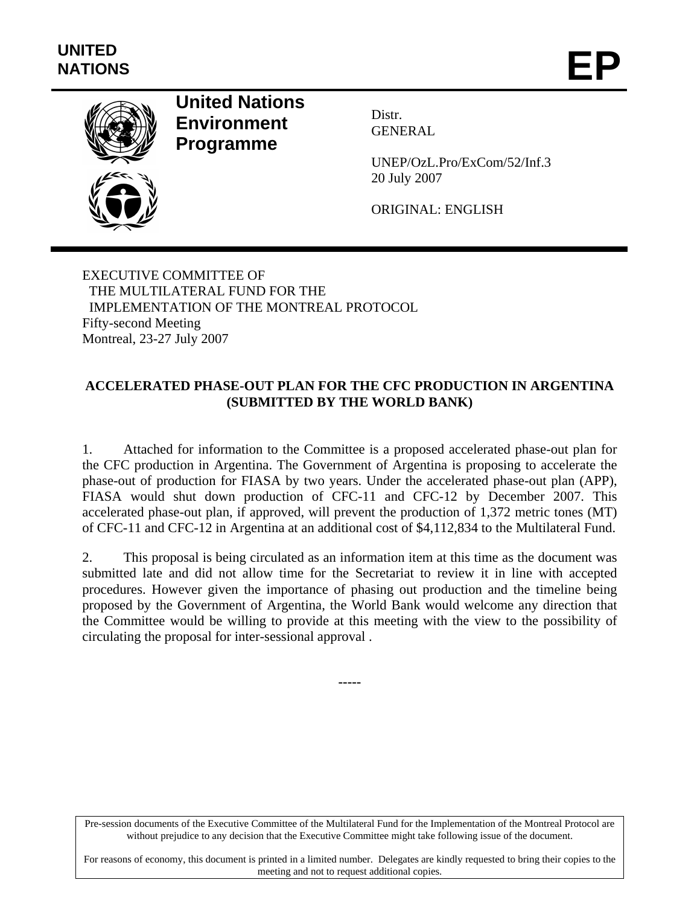

## **United Nations Environment Programme**

Distr. GENERAL

UNEP/OzL.Pro/ExCom/52/Inf.3 20 July 2007

ORIGINAL: ENGLISH

EXECUTIVE COMMITTEE OF THE MULTILATERAL FUND FOR THE IMPLEMENTATION OF THE MONTREAL PROTOCOL Fifty-second Meeting Montreal, 23-27 July 2007

## **ACCELERATED PHASE-OUT PLAN FOR THE CFC PRODUCTION IN ARGENTINA (SUBMITTED BY THE WORLD BANK)**

1. Attached for information to the Committee is a proposed accelerated phase-out plan for the CFC production in Argentina. The Government of Argentina is proposing to accelerate the phase-out of production for FIASA by two years. Under the accelerated phase-out plan (APP), FIASA would shut down production of CFC-11 and CFC-12 by December 2007. This accelerated phase-out plan, if approved, will prevent the production of 1,372 metric tones (MT) of CFC-11 and CFC-12 in Argentina at an additional cost of \$4,112,834 to the Multilateral Fund.

2. This proposal is being circulated as an information item at this time as the document was submitted late and did not allow time for the Secretariat to review it in line with accepted procedures. However given the importance of phasing out production and the timeline being proposed by the Government of Argentina, the World Bank would welcome any direction that the Committee would be willing to provide at this meeting with the view to the possibility of circulating the proposal for inter-sessional approval .

**-----** 

Pre-session documents of the Executive Committee of the Multilateral Fund for the Implementation of the Montreal Protocol are without prejudice to any decision that the Executive Committee might take following issue of the document.

For reasons of economy, this document is printed in a limited number. Delegates are kindly requested to bring their copies to the meeting and not to request additional copies.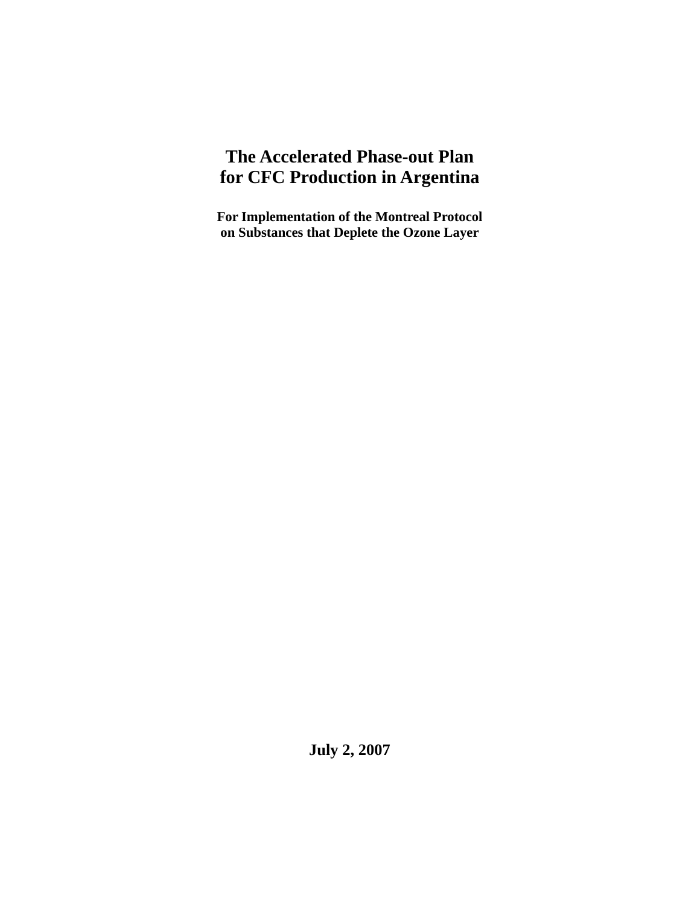# **The Accelerated Phase-out Plan for CFC Production in Argentina**

**For Implementation of the Montreal Protocol on Substances that Deplete the Ozone Layer**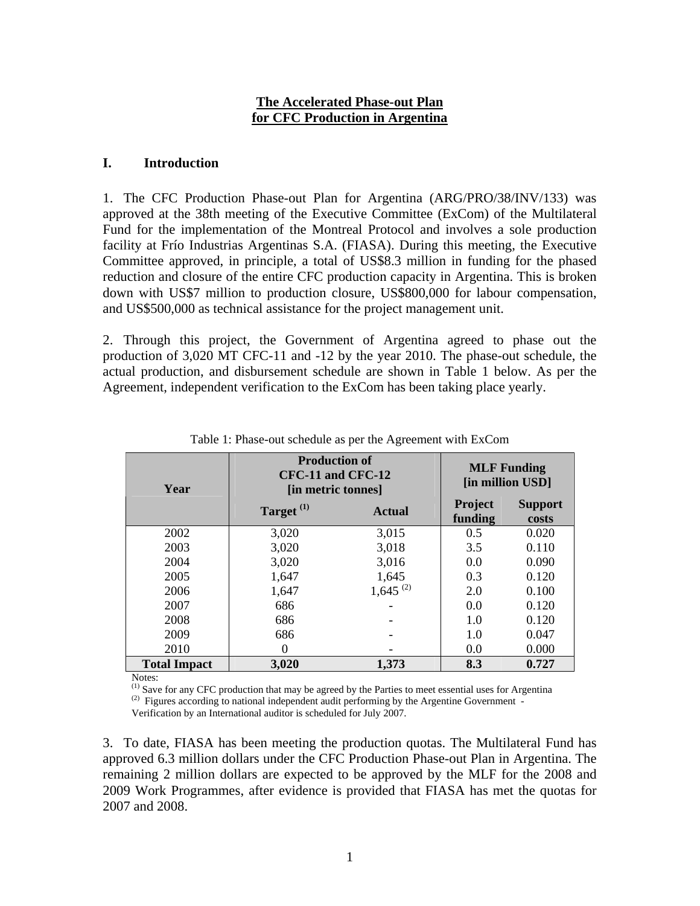#### **The Accelerated Phase-out Plan for CFC Production in Argentina**

#### **I. Introduction**

1. The CFC Production Phase-out Plan for Argentina (ARG/PRO/38/INV/133) was approved at the 38th meeting of the Executive Committee (ExCom) of the Multilateral Fund for the implementation of the Montreal Protocol and involves a sole production facility at Frío Industrias Argentinas S.A. (FIASA). During this meeting, the Executive Committee approved, in principle, a total of US\$8.3 million in funding for the phased reduction and closure of the entire CFC production capacity in Argentina. This is broken down with US\$7 million to production closure, US\$800,000 for labour compensation, and US\$500,000 as technical assistance for the project management unit.

2. Through this project, the Government of Argentina agreed to phase out the production of 3,020 MT CFC-11 and -12 by the year 2010. The phase-out schedule, the actual production, and disbursement schedule are shown in Table 1 below. As per the Agreement, independent verification to the ExCom has been taking place yearly.

| Year                | <b>Production of</b><br>CFC-11 and CFC-12<br>[in metric tonnes] |               | <b>MLF Funding</b><br>[in million USD] |                         |
|---------------------|-----------------------------------------------------------------|---------------|----------------------------------------|-------------------------|
|                     | Target <sup>(1)</sup>                                           | <b>Actual</b> | Project<br>funding                     | <b>Support</b><br>costs |
| 2002                | 3,020                                                           | 3,015         | 0.5                                    | 0.020                   |
| 2003                | 3,020                                                           | 3,018         | 3.5                                    | 0.110                   |
| 2004                | 3,020                                                           | 3,016         | 0.0                                    | 0.090                   |
| 2005                | 1,647                                                           | 1,645         | 0.3                                    | 0.120                   |
| 2006                | 1,647                                                           | $1,645^{(2)}$ | 2.0                                    | 0.100                   |
| 2007                | 686                                                             |               | 0.0                                    | 0.120                   |
| 2008                | 686                                                             |               | 1.0                                    | 0.120                   |
| 2009                | 686                                                             |               | 1.0                                    | 0.047                   |
| 2010                | 0                                                               |               | 0.0                                    | 0.000                   |
| <b>Total Impact</b> | 3,020                                                           | 1,373         | 8.3                                    | 0.727                   |

Table 1: Phase-out schedule as per the Agreement with ExCom

Notes:

<sup>(1)</sup> Save for any CFC production that may be agreed by the Parties to meet essential uses for Argentina <sup>(2)</sup> Figures according to national independent audit performing by the Argentine Government -

Verification by an International auditor is scheduled for July 2007.

3. To date, FIASA has been meeting the production quotas. The Multilateral Fund has approved 6.3 million dollars under the CFC Production Phase-out Plan in Argentina. The remaining 2 million dollars are expected to be approved by the MLF for the 2008 and 2009 Work Programmes, after evidence is provided that FIASA has met the quotas for 2007 and 2008.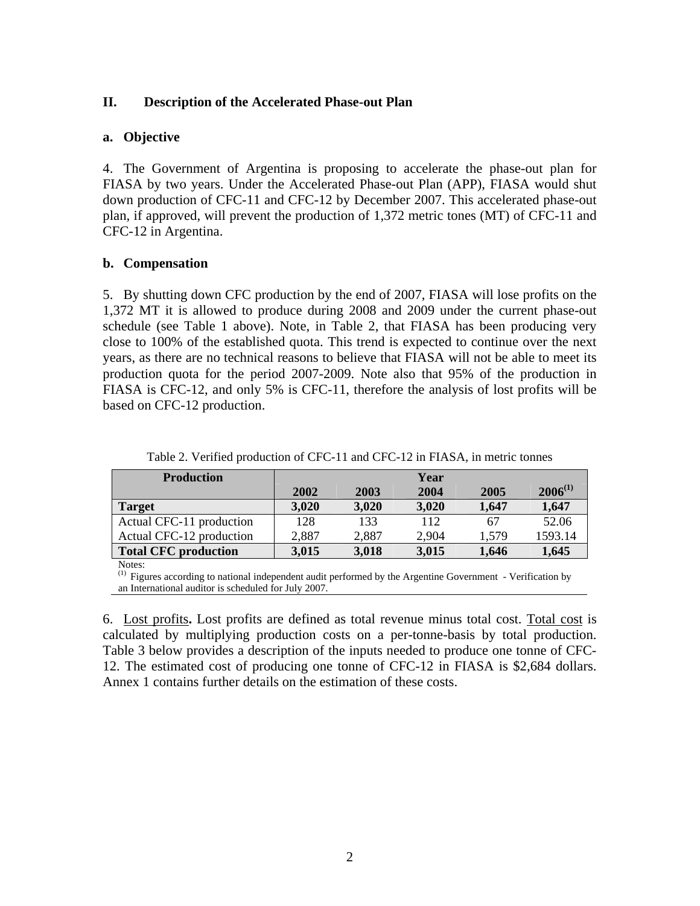#### **II. Description of the Accelerated Phase-out Plan**

#### **a. Objective**

4. The Government of Argentina is proposing to accelerate the phase-out plan for FIASA by two years. Under the Accelerated Phase-out Plan (APP), FIASA would shut down production of CFC-11 and CFC-12 by December 2007. This accelerated phase-out plan, if approved, will prevent the production of 1,372 metric tones (MT) of CFC-11 and CFC-12 in Argentina.

#### **b. Compensation**

5. By shutting down CFC production by the end of 2007, FIASA will lose profits on the 1,372 MT it is allowed to produce during 2008 and 2009 under the current phase-out schedule (see Table 1 above). Note, in Table 2, that FIASA has been producing very close to 100% of the established quota. This trend is expected to continue over the next years, as there are no technical reasons to believe that FIASA will not be able to meet its production quota for the period 2007-2009. Note also that 95% of the production in FIASA is CFC-12, and only 5% is CFC-11, therefore the analysis of lost profits will be based on CFC-12 production.

| <b>Production</b>           |       |       | Year  |       |              |
|-----------------------------|-------|-------|-------|-------|--------------|
|                             | 2002  | 2003  | 2004  | 2005  | $2006^{(1)}$ |
| <b>Target</b>               | 3,020 | 3,020 | 3,020 | 1,647 | 1,647        |
| Actual CFC-11 production    | 128   | 133   | 112   | 67    | 52.06        |
| Actual CFC-12 production    | 2,887 | 2,887 | 2,904 | 1.579 | 1593.14      |
| <b>Total CFC production</b> | 3,015 | 3,018 | 3,015 | 1,646 | 1,645        |

Table 2. Verified production of CFC-11 and CFC-12 in FIASA, in metric tonnes

Notes:

(1) Figures according to national independent audit performed by the Argentine Government - Verification by an International auditor is scheduled for July 2007.

6. Lost profits**.** Lost profits are defined as total revenue minus total cost. Total cost is calculated by multiplying production costs on a per-tonne-basis by total production. Table 3 below provides a description of the inputs needed to produce one tonne of CFC-12. The estimated cost of producing one tonne of CFC-12 in FIASA is \$2,684 dollars. Annex 1 contains further details on the estimation of these costs.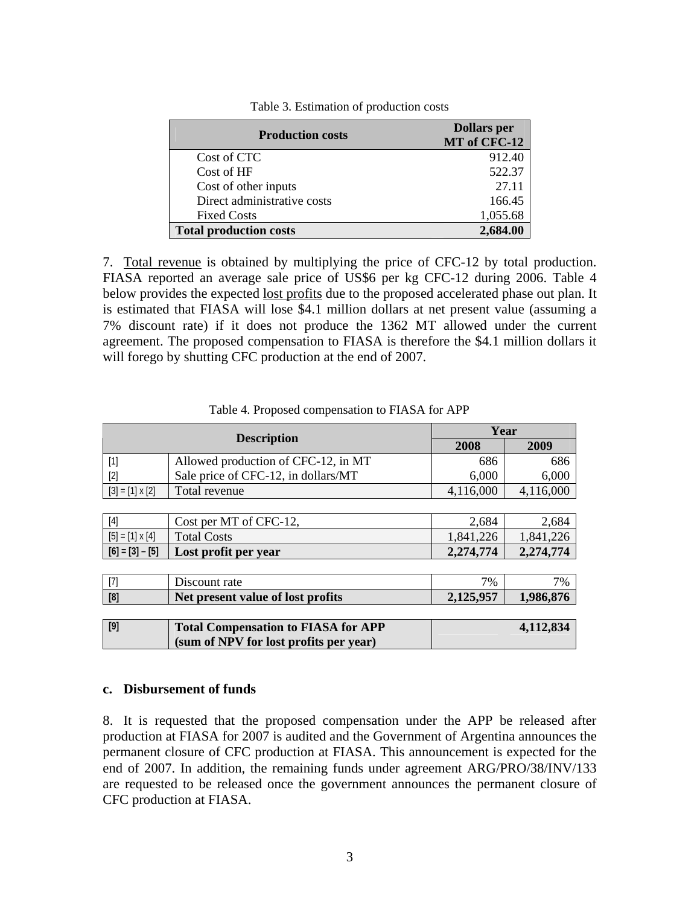| <b>Production costs</b>       | <b>Dollars</b> per<br>MT of CFC-12 |
|-------------------------------|------------------------------------|
| Cost of CTC                   | 912.40                             |
| Cost of HF                    | 522.37                             |
| Cost of other inputs          | 27.11                              |
| Direct administrative costs   | 166.45                             |
| <b>Fixed Costs</b>            | 1,055.68                           |
| <b>Total production costs</b> |                                    |

Table 3. Estimation of production costs

7. Total revenue is obtained by multiplying the price of CFC-12 by total production. FIASA reported an average sale price of US\$6 per kg CFC-12 during 2006. Table 4 below provides the expected lost profits due to the proposed accelerated phase out plan. It is estimated that FIASA will lose \$4.1 million dollars at net present value (assuming a 7% discount rate) if it does not produce the 1362 MT allowed under the current agreement. The proposed compensation to FIASA is therefore the \$4.1 million dollars it will forego by shutting CFC production at the end of 2007.

| <b>Description</b>     |                                            | Year      |           |
|------------------------|--------------------------------------------|-----------|-----------|
|                        |                                            | 2008      | 2009      |
| $[1]$                  | Allowed production of CFC-12, in MT        | 686       | 686       |
| $[2]$                  | Sale price of CFC-12, in dollars/MT        | 6,000     | 6,000     |
| $[3] = [1] \times [2]$ | Total revenue                              | 4,116,000 | 4,116,000 |
|                        |                                            |           |           |
| $[4]$                  | Cost per MT of CFC-12,                     | 2,684     | 2,684     |
| $[5] = [1] \times [4]$ | <b>Total Costs</b>                         | 1,841,226 | 1,841,226 |
| $[6] = [3] - [5]$      | Lost profit per year                       | 2,274,774 | 2,274,774 |
|                        |                                            |           |           |
| $[7]$                  | Discount rate                              | 7%        | 7%        |
| [8]                    | Net present value of lost profits          | 2,125,957 | 1,986,876 |
|                        |                                            |           |           |
| $[9]$                  | <b>Total Compensation to FIASA for APP</b> |           | 4,112,834 |
|                        | (sum of NPV for lost profits per year)     |           |           |

Table 4. Proposed compensation to FIASA for APP

#### **c. Disbursement of funds**

8. It is requested that the proposed compensation under the APP be released after production at FIASA for 2007 is audited and the Government of Argentina announces the permanent closure of CFC production at FIASA. This announcement is expected for the end of 2007. In addition, the remaining funds under agreement ARG/PRO/38/INV/133 are requested to be released once the government announces the permanent closure of CFC production at FIASA.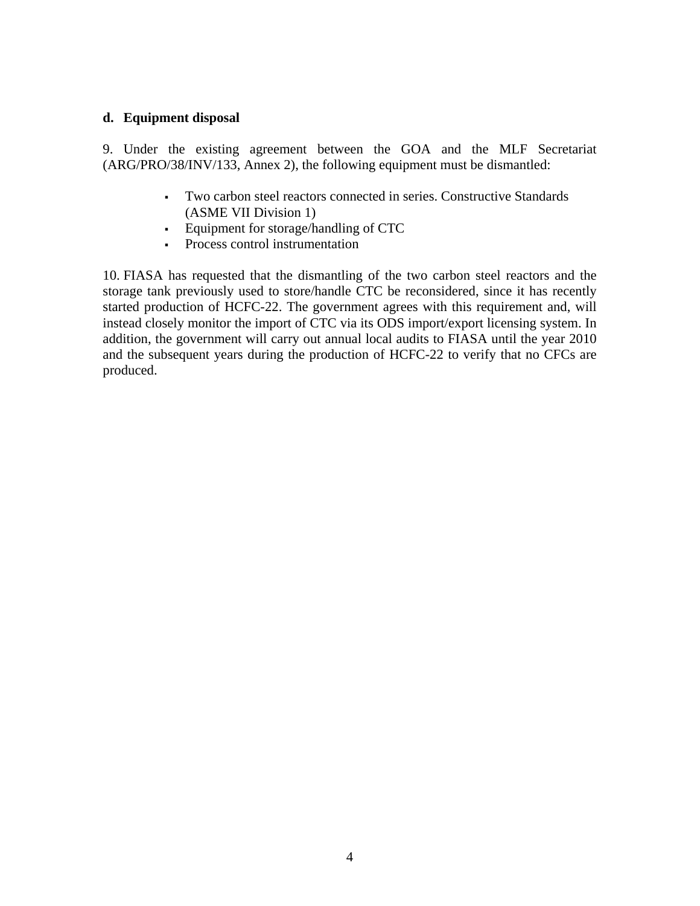#### **d. Equipment disposal**

9. Under the existing agreement between the GOA and the MLF Secretariat (ARG/PRO/38/INV/133, Annex 2), the following equipment must be dismantled:

- Two carbon steel reactors connected in series. Constructive Standards (ASME VII Division 1)
- Equipment for storage/handling of CTC
- Process control instrumentation

10. FIASA has requested that the dismantling of the two carbon steel reactors and the storage tank previously used to store/handle CTC be reconsidered, since it has recently started production of HCFC-22. The government agrees with this requirement and, will instead closely monitor the import of CTC via its ODS import/export licensing system. In addition, the government will carry out annual local audits to FIASA until the year 2010 and the subsequent years during the production of HCFC-22 to verify that no CFCs are produced.